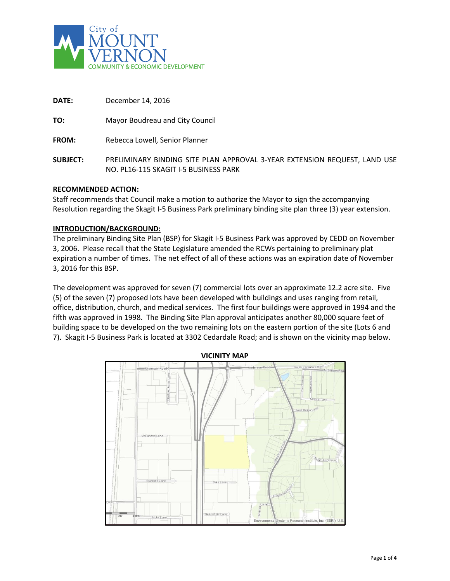

| DATE:           | December 14, 2016                                                                                                  |
|-----------------|--------------------------------------------------------------------------------------------------------------------|
| TO:             | Mayor Boudreau and City Council                                                                                    |
| <b>FROM:</b>    | Rebecca Lowell, Senior Planner                                                                                     |
| <b>SUBJECT:</b> | PRELIMINARY BINDING SITE PLAN APPROVAL 3-YEAR EXTENSION REQUEST, LAND USE<br>NO. PL16-115 SKAGIT I-5 BUSINESS PARK |

#### **RECOMMENDED ACTION:**

Staff recommends that Council make a motion to authorize the Mayor to sign the accompanying Resolution regarding the Skagit I-5 Business Park preliminary binding site plan three (3) year extension.

#### **INTRODUCTION/BACKGROUND:**

The preliminary Binding Site Plan (BSP) for Skagit I-5 Business Park was approved by CEDD on November 3, 2006. Please recall that the State Legislature amended the RCWs pertaining to preliminary plat expiration a number of times. The net effect of all of these actions was an expiration date of November 3, 2016 for this BSP.

The development was approved for seven (7) commercial lots over an approximate 12.2 acre site. Five (5) of the seven (7) proposed lots have been developed with buildings and uses ranging from retail, office, distribution, church, and medical services. The first four buildings were approved in 1994 and the fifth was approved in 1998. The Binding Site Plan approval anticipates another 80,000 square feet of building space to be developed on the two remaining lots on the eastern portion of the site (Lots 6 and 7). Skagit I-5 Business Park is located at 3302 Cedardale Road; and is shown on the vicinity map below.

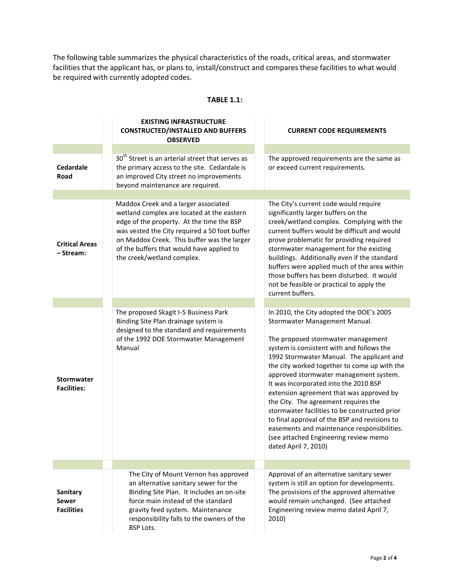The following table summarizes the physical characteristics of the roads, critical areas, and stormwater facilities that the applicant has, or plans to, install/construct and compares these facilities to what would be required with currently adopted codes.

#### **TABLE 1.1:**

|                                                      | <b>EXISTING INFRASTRUCTURE</b><br><b>CONSTRUCTED/INSTALLED AND BUFFERS</b><br><b>OBSERVED</b>                                                                                                                                                                                                              | <b>CURRENT CODE REQUIREMENTS</b>                                                                                                                                                                                                                                                                                                                                                                                                                                                                                                                                                                                                                   |
|------------------------------------------------------|------------------------------------------------------------------------------------------------------------------------------------------------------------------------------------------------------------------------------------------------------------------------------------------------------------|----------------------------------------------------------------------------------------------------------------------------------------------------------------------------------------------------------------------------------------------------------------------------------------------------------------------------------------------------------------------------------------------------------------------------------------------------------------------------------------------------------------------------------------------------------------------------------------------------------------------------------------------------|
|                                                      |                                                                                                                                                                                                                                                                                                            |                                                                                                                                                                                                                                                                                                                                                                                                                                                                                                                                                                                                                                                    |
| <b>Cedardale</b><br><b>Road</b>                      | 30 <sup>th</sup> Street is an arterial street that serves as<br>the primary access to the site. Cedardale is<br>an improved City street no improvements<br>beyond maintenance are required.                                                                                                                | The approved requirements are the same as<br>or exceed current requirements.                                                                                                                                                                                                                                                                                                                                                                                                                                                                                                                                                                       |
|                                                      |                                                                                                                                                                                                                                                                                                            |                                                                                                                                                                                                                                                                                                                                                                                                                                                                                                                                                                                                                                                    |
| <b>Critical Areas</b><br>- Stream:                   | Maddox Creek and a larger associated<br>wetland complex are located at the eastern<br>edge of the property. At the time the BSP<br>was vested the City required a 50 foot buffer<br>on Maddox Creek. This buffer was the larger<br>of the buffers that would have applied to<br>the creek/wetland complex. | The City's current code would require<br>significantly larger buffers on the<br>creek/wetland complex. Complying with the<br>current buffers would be difficult and would<br>prove problematic for providing required<br>stormwater management for the existing<br>buildings. Additionally even if the standard<br>buffers were applied much of the area within<br>those buffers has been disturbed. It would<br>not be feasible or practical to apply the<br>current buffers.                                                                                                                                                                     |
|                                                      |                                                                                                                                                                                                                                                                                                            |                                                                                                                                                                                                                                                                                                                                                                                                                                                                                                                                                                                                                                                    |
| <b>Stormwater</b><br><b>Facilities:</b>              | The proposed Skagit I-5 Business Park<br>Binding Site Plan drainage system is<br>designed to the standard and requirements<br>of the 1992 DOE Stormwater Management<br>Manual                                                                                                                              | In 2010, the City adopted the DOE's 2005<br>Stormwater Management Manual.<br>The proposed stormwater management<br>system is consistent with and follows the<br>1992 Stormwater Manual. The applicant and<br>the city worked together to come up with the<br>approved stormwater management system.<br>It was incorporated into the 2010 BSP<br>extension agreement that was approved by<br>the City. The agreement requires the<br>stormwater facilities to be constructed prior<br>to final approval of the BSP and revisions to<br>easements and maintenance responsibilities.<br>(see attached Engineering review memo<br>dated April 7, 2010) |
|                                                      |                                                                                                                                                                                                                                                                                                            |                                                                                                                                                                                                                                                                                                                                                                                                                                                                                                                                                                                                                                                    |
| <b>Sanitary</b><br><b>Sewer</b><br><b>Facilities</b> | The City of Mount Vernon has approved<br>an alternative sanitary sewer for the<br>Binding Site Plan. It includes an on-site<br>force main instead of the standard<br>gravity feed system. Maintenance<br>responsibility falls to the owners of the<br><b>BSP Lots.</b>                                     | Approval of an alternative sanitary sewer<br>system is still an option for developments.<br>The provisions of the approved alternative<br>would remain unchanged. (See attached<br>Engineering review memo dated April 7,<br>2010)                                                                                                                                                                                                                                                                                                                                                                                                                 |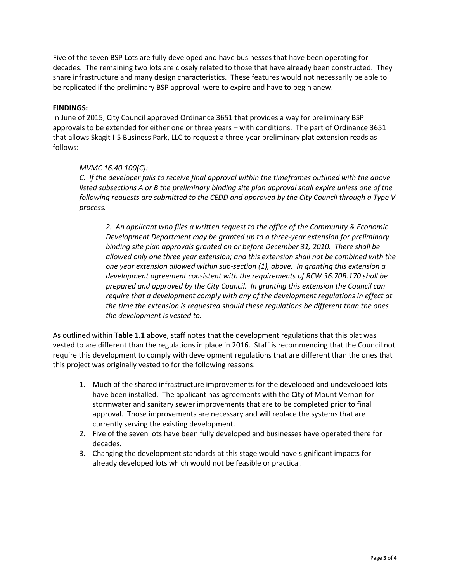Five of the seven BSP Lots are fully developed and have businesses that have been operating for decades. The remaining two lots are closely related to those that have already been constructed. They share infrastructure and many design characteristics. These features would not necessarily be able to be replicated if the preliminary BSP approval were to expire and have to begin anew.

#### **FINDINGS:**

In June of 2015, City Council approved Ordinance 3651 that provides a way for preliminary BSP approvals to be extended for either one or three years – with conditions. The part of Ordinance 3651 that allows Skagit I-5 Business Park, LLC to request a three-year preliminary plat extension reads as follows:

#### *MVMC 16.40.100(C):*

*C. If the developer fails to receive final approval within the timeframes outlined with the above listed subsections A or B the preliminary binding site plan approval shall expire unless one of the following requests are submitted to the CEDD and approved by the City Council through a Type V process.*

*2. An applicant who files a written request to the office of the Community & Economic Development Department may be granted up to a three-year extension for preliminary binding site plan approvals granted on or before December 31, 2010. There shall be allowed only one three year extension; and this extension shall not be combined with the one year extension allowed within sub-section (1), above. In granting this extension a development agreement consistent with the requirements of RCW 36.70B.170 shall be prepared and approved by the City Council. In granting this extension the Council can require that a development comply with any of the development regulations in effect at the time the extension is requested should these regulations be different than the ones the development is vested to.* 

As outlined within **Table 1.1** above, staff notes that the development regulations that this plat was vested to are different than the regulations in place in 2016. Staff is recommending that the Council not require this development to comply with development regulations that are different than the ones that this project was originally vested to for the following reasons:

- 1. Much of the shared infrastructure improvements for the developed and undeveloped lots have been installed. The applicant has agreements with the City of Mount Vernon for stormwater and sanitary sewer improvements that are to be completed prior to final approval. Those improvements are necessary and will replace the systems that are currently serving the existing development.
- 2. Five of the seven lots have been fully developed and businesses have operated there for decades.
- 3. Changing the development standards at this stage would have significant impacts for already developed lots which would not be feasible or practical.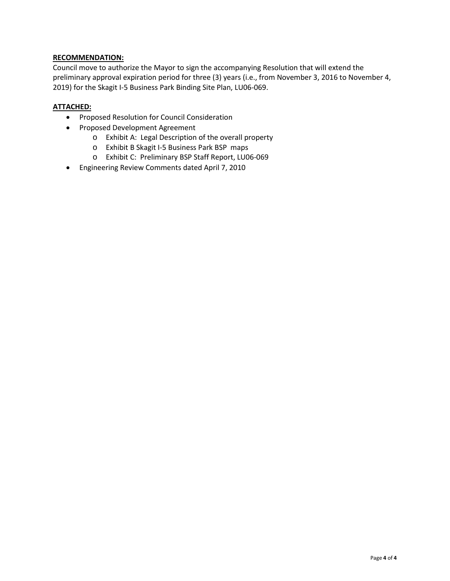## **RECOMMENDATION:**

Council move to authorize the Mayor to sign the accompanying Resolution that will extend the preliminary approval expiration period for three (3) years (i.e., from November 3, 2016 to November 4, 2019) for the Skagit I-5 Business Park Binding Site Plan, LU06-069.

## **ATTACHED:**

- Proposed Resolution for Council Consideration
- Proposed Development Agreement
	- o Exhibit A: Legal Description of the overall property
	- o Exhibit B Skagit I-5 Business Park BSP maps
	- o Exhibit C: Preliminary BSP Staff Report, LU06-069
- Engineering Review Comments dated April 7, 2010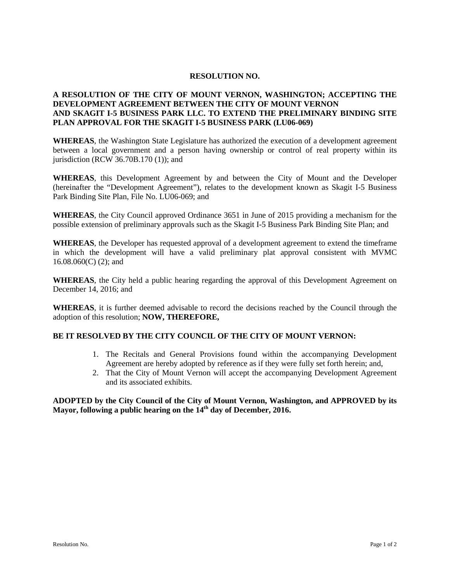#### **RESOLUTION NO.**

## **A RESOLUTION OF THE CITY OF MOUNT VERNON, WASHINGTON; ACCEPTING THE DEVELOPMENT AGREEMENT BETWEEN THE CITY OF MOUNT VERNON AND SKAGIT I-5 BUSINESS PARK LLC. TO EXTEND THE PRELIMINARY BINDING SITE PLAN APPROVAL FOR THE SKAGIT I-5 BUSINESS PARK (LU06-069)**

**WHEREAS**, the Washington State Legislature has authorized the execution of a development agreement between a local government and a person having ownership or control of real property within its jurisdiction (RCW 36.70B.170 (1)); and

**WHEREAS**, this Development Agreement by and between the City of Mount and the Developer (hereinafter the "Development Agreement"), relates to the development known as Skagit I-5 Business Park Binding Site Plan, File No. LU06-069; and

**WHEREAS**, the City Council approved Ordinance 3651 in June of 2015 providing a mechanism for the possible extension of preliminary approvals such as the Skagit I-5 Business Park Binding Site Plan; and

**WHEREAS**, the Developer has requested approval of a development agreement to extend the timeframe in which the development will have a valid preliminary plat approval consistent with MVMC 16.08.060(C) (2); and

**WHEREAS**, the City held a public hearing regarding the approval of this Development Agreement on December 14, 2016; and

**WHEREAS**, it is further deemed advisable to record the decisions reached by the Council through the adoption of this resolution; **NOW, THEREFORE,**

#### **BE IT RESOLVED BY THE CITY COUNCIL OF THE CITY OF MOUNT VERNON:**

- 1. The Recitals and General Provisions found within the accompanying Development Agreement are hereby adopted by reference as if they were fully set forth herein; and,
- 2. That the City of Mount Vernon will accept the accompanying Development Agreement and its associated exhibits.

**ADOPTED by the City Council of the City of Mount Vernon, Washington, and APPROVED by its Mayor, following a public hearing on the 14th day of December, 2016.**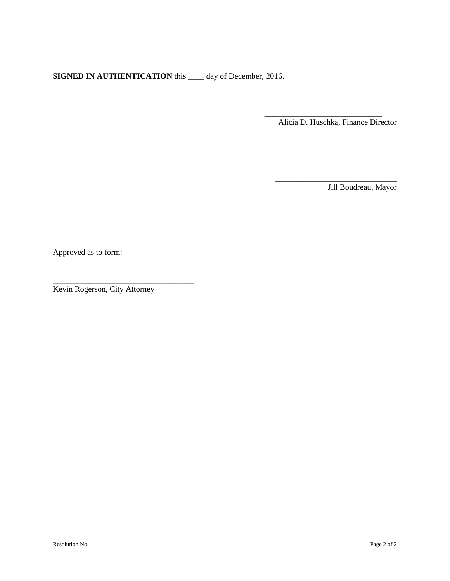**SIGNED IN AUTHENTICATION** this \_\_\_\_ day of December, 2016.

\_\_\_\_\_\_\_\_\_\_\_\_\_\_\_\_\_\_\_\_\_\_\_\_\_\_\_\_\_ Alicia D. Huschka, Finance Director

\_\_\_\_\_\_\_\_\_\_\_\_\_\_\_\_\_\_\_\_\_\_\_\_\_\_\_\_\_\_

Jill Boudreau, Mayor

Approved as to form:

Kevin Rogerson, City Attorney

\_\_\_\_\_\_\_\_\_\_\_\_\_\_\_\_\_\_\_\_\_\_\_\_\_\_\_\_\_\_\_\_\_\_\_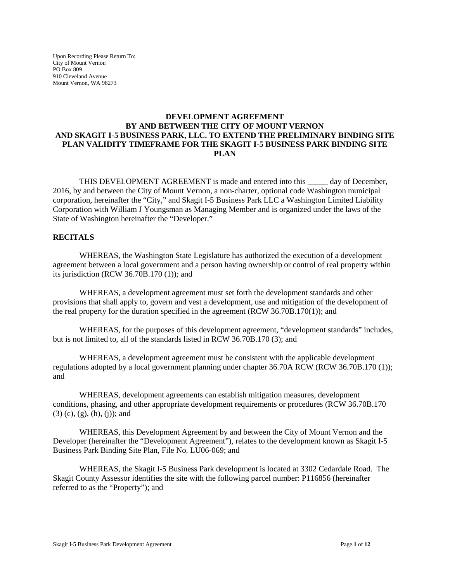Upon Recording Please Return To: City of Mount Vernon PO Box 809 910 Cleveland Avenue Mount Vernon, WA 98273

### **DEVELOPMENT AGREEMENT BY AND BETWEEN THE CITY OF MOUNT VERNON AND SKAGIT I-5 BUSINESS PARK, LLC. TO EXTEND THE PRELIMINARY BINDING SITE PLAN VALIDITY TIMEFRAME FOR THE SKAGIT I-5 BUSINESS PARK BINDING SITE PLAN**

THIS DEVELOPMENT AGREEMENT is made and entered into this \_\_\_\_\_ day of December, 2016, by and between the City of Mount Vernon, a non-charter, optional code Washington municipal corporation, hereinafter the "City," and Skagit I-5 Business Park LLC a Washington Limited Liability Corporation with William J Youngsman as Managing Member and is organized under the laws of the State of Washington hereinafter the "Developer."

#### **RECITALS**

WHEREAS, the Washington State Legislature has authorized the execution of a development agreement between a local government and a person having ownership or control of real property within its jurisdiction (RCW 36.70B.170 (1)); and

WHEREAS, a development agreement must set forth the development standards and other provisions that shall apply to, govern and vest a development, use and mitigation of the development of the real property for the duration specified in the agreement (RCW 36.70B.170(1)); and

WHEREAS, for the purposes of this development agreement, "development standards" includes, but is not limited to, all of the standards listed in RCW 36.70B.170 (3); and

WHEREAS, a development agreement must be consistent with the applicable development regulations adopted by a local government planning under chapter 36.70A RCW (RCW 36.70B.170 (1)); and

WHEREAS, development agreements can establish mitigation measures, development conditions, phasing, and other appropriate development requirements or procedures (RCW 36.70B.170 (3) (c), (g), (h), (j)); and

WHEREAS, this Development Agreement by and between the City of Mount Vernon and the Developer (hereinafter the "Development Agreement"), relates to the development known as Skagit I-5 Business Park Binding Site Plan, File No. LU06-069; and

WHEREAS, the Skagit I-5 Business Park development is located at 3302 Cedardale Road. The Skagit County Assessor identifies the site with the following parcel number: P116856 (hereinafter referred to as the "Property"); and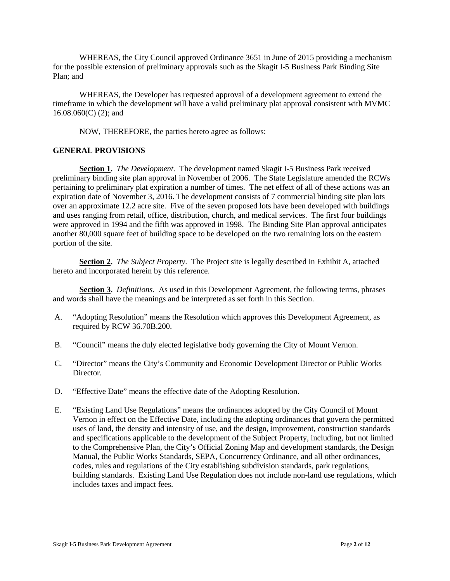WHEREAS, the City Council approved Ordinance 3651 in June of 2015 providing a mechanism for the possible extension of preliminary approvals such as the Skagit I-5 Business Park Binding Site Plan; and

WHEREAS, the Developer has requested approval of a development agreement to extend the timeframe in which the development will have a valid preliminary plat approval consistent with MVMC 16.08.060(C) (2); and

NOW, THEREFORE, the parties hereto agree as follows:

#### **GENERAL PROVISIONS**

**Section 1.** *The Development.* The development named Skagit I-5 Business Park received preliminary binding site plan approval in November of 2006. The State Legislature amended the RCWs pertaining to preliminary plat expiration a number of times. The net effect of all of these actions was an expiration date of November 3, 2016. The development consists of 7 commercial binding site plan lots over an approximate 12.2 acre site. Five of the seven proposed lots have been developed with buildings and uses ranging from retail, office, distribution, church, and medical services. The first four buildings were approved in 1994 and the fifth was approved in 1998. The Binding Site Plan approval anticipates another 80,000 square feet of building space to be developed on the two remaining lots on the eastern portion of the site.

**Section 2.** *The Subject Property.* The Project site is legally described in Exhibit A, attached hereto and incorporated herein by this reference.

**Section 3.** *Definitions.* As used in this Development Agreement, the following terms, phrases and words shall have the meanings and be interpreted as set forth in this Section.

- A. "Adopting Resolution" means the Resolution which approves this Development Agreement, as required by RCW 36.70B.200.
- B. "Council" means the duly elected legislative body governing the City of Mount Vernon.
- C. "Director" means the City's Community and Economic Development Director or Public Works Director.
- D. "Effective Date" means the effective date of the Adopting Resolution.
- E. "Existing Land Use Regulations" means the ordinances adopted by the City Council of Mount Vernon in effect on the Effective Date, including the adopting ordinances that govern the permitted uses of land, the density and intensity of use, and the design, improvement, construction standards and specifications applicable to the development of the Subject Property, including, but not limited to the Comprehensive Plan, the City's Official Zoning Map and development standards, the Design Manual, the Public Works Standards, SEPA, Concurrency Ordinance, and all other ordinances, codes, rules and regulations of the City establishing subdivision standards, park regulations, building standards. Existing Land Use Regulation does not include non-land use regulations, which includes taxes and impact fees.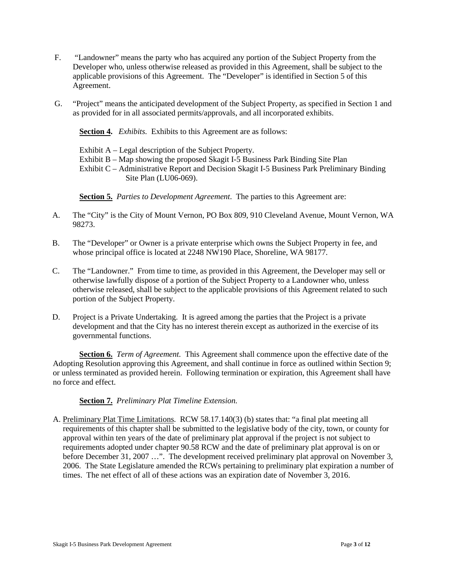- F. "Landowner" means the party who has acquired any portion of the Subject Property from the Developer who, unless otherwise released as provided in this Agreement, shall be subject to the applicable provisions of this Agreement. The "Developer" is identified in Section 5 of this Agreement.
- G. "Project" means the anticipated development of the Subject Property, as specified in Section 1 and as provided for in all associated permits/approvals, and all incorporated exhibits.

**Section 4.** *Exhibits.* Exhibits to this Agreement are as follows:

Exhibit A – Legal description of the Subject Property.

Exhibit B – Map showing the proposed Skagit I-5 Business Park Binding Site Plan

Exhibit C – Administrative Report and Decision Skagit I-5 Business Park Preliminary Binding Site Plan (LU06-069).

**Section 5.** *Parties to Development Agreement*. The parties to this Agreement are:

- A. The "City" is the City of Mount Vernon, PO Box 809, 910 Cleveland Avenue, Mount Vernon, WA 98273.
- B. The "Developer" or Owner is a private enterprise which owns the Subject Property in fee, and whose principal office is located at 2248 NW190 Place, Shoreline, WA 98177.
- C. The "Landowner." From time to time, as provided in this Agreement, the Developer may sell or otherwise lawfully dispose of a portion of the Subject Property to a Landowner who, unless otherwise released, shall be subject to the applicable provisions of this Agreement related to such portion of the Subject Property.
- D. Project is a Private Undertaking. It is agreed among the parties that the Project is a private development and that the City has no interest therein except as authorized in the exercise of its governmental functions.

**Section 6.** *Term of Agreement.* This Agreement shall commence upon the effective date of the Adopting Resolution approving this Agreement, and shall continue in force as outlined within Section 9; or unless terminated as provided herein. Following termination or expiration, this Agreement shall have no force and effect.

**Section 7.** *Preliminary Plat Timeline Extension.*

A. Preliminary Plat Time Limitations. RCW 58.17.140(3) (b) states that: "a final plat meeting all requirements of this chapter shall be submitted to the legislative body of the city, town, or county for approval within ten years of the date of preliminary plat approval if the project is not subject to requirements adopted under chapter 90.58 RCW and the date of preliminary plat approval is on or before December 31, 2007 ...". The development received preliminary plat approval on November 3, 2006. The State Legislature amended the RCWs pertaining to preliminary plat expiration a number of times. The net effect of all of these actions was an expiration date of November 3, 2016.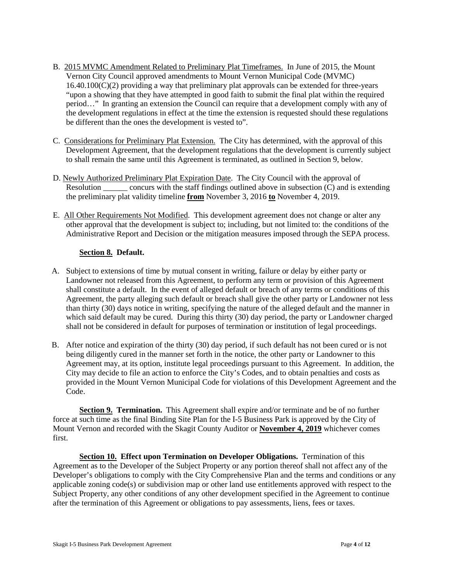- B. 2015 MVMC Amendment Related to Preliminary Plat Timeframes. In June of 2015, the Mount Vernon City Council approved amendments to Mount Vernon Municipal Code (MVMC) 16.40.100(C)(2) providing a way that preliminary plat approvals can be extended for three-years "upon a showing that they have attempted in good faith to submit the final plat within the required period…" In granting an extension the Council can require that a development comply with any of the development regulations in effect at the time the extension is requested should these regulations be different than the ones the development is vested to".
- C. Considerations for Preliminary Plat Extension. The City has determined, with the approval of this Development Agreement, that the development regulations that the development is currently subject to shall remain the same until this Agreement is terminated, as outlined in Section 9, below.
- D. Newly Authorized Preliminary Plat Expiration Date. The City Council with the approval of Resolution concurs with the staff findings outlined above in subsection  $(\tilde{C})$  and is extending the preliminary plat validity timeline **from** November 3, 2016 **to** November 4, 2019.
- E. All Other Requirements Not Modified. This development agreement does not change or alter any other approval that the development is subject to; including, but not limited to: the conditions of the Administrative Report and Decision or the mitigation measures imposed through the SEPA process.

## **Section 8. Default.**

- A. Subject to extensions of time by mutual consent in writing, failure or delay by either party or Landowner not released from this Agreement, to perform any term or provision of this Agreement shall constitute a default. In the event of alleged default or breach of any terms or conditions of this Agreement, the party alleging such default or breach shall give the other party or Landowner not less than thirty (30) days notice in writing, specifying the nature of the alleged default and the manner in which said default may be cured. During this thirty (30) day period, the party or Landowner charged shall not be considered in default for purposes of termination or institution of legal proceedings.
- B. After notice and expiration of the thirty (30) day period, if such default has not been cured or is not being diligently cured in the manner set forth in the notice, the other party or Landowner to this Agreement may, at its option, institute legal proceedings pursuant to this Agreement. In addition, the City may decide to file an action to enforce the City's Codes, and to obtain penalties and costs as provided in the Mount Vernon Municipal Code for violations of this Development Agreement and the Code.

**Section 9. Termination.** This Agreement shall expire and/or terminate and be of no further force at such time as the final Binding Site Plan for the I-5 Business Park is approved by the City of Mount Vernon and recorded with the Skagit County Auditor or **November 4, 2019** whichever comes first.

**Section 10. Effect upon Termination on Developer Obligations.** Termination of this Agreement as to the Developer of the Subject Property or any portion thereof shall not affect any of the Developer's obligations to comply with the City Comprehensive Plan and the terms and conditions or any applicable zoning code(s) or subdivision map or other land use entitlements approved with respect to the Subject Property, any other conditions of any other development specified in the Agreement to continue after the termination of this Agreement or obligations to pay assessments, liens, fees or taxes.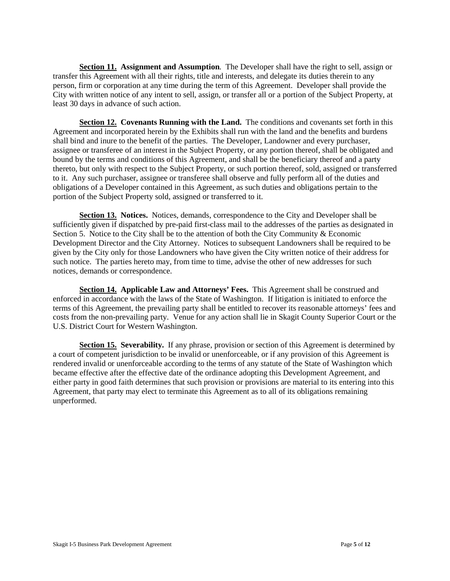**Section 11. Assignment and Assumption***.* The Developer shall have the right to sell, assign or transfer this Agreement with all their rights, title and interests, and delegate its duties therein to any person, firm or corporation at any time during the term of this Agreement. Developer shall provide the City with written notice of any intent to sell, assign, or transfer all or a portion of the Subject Property, at least 30 days in advance of such action.

**Section 12. Covenants Running with the Land.** The conditions and covenants set forth in this Agreement and incorporated herein by the Exhibits shall run with the land and the benefits and burdens shall bind and inure to the benefit of the parties. The Developer, Landowner and every purchaser, assignee or transferee of an interest in the Subject Property, or any portion thereof, shall be obligated and bound by the terms and conditions of this Agreement, and shall be the beneficiary thereof and a party thereto, but only with respect to the Subject Property, or such portion thereof, sold, assigned or transferred to it. Any such purchaser, assignee or transferee shall observe and fully perform all of the duties and obligations of a Developer contained in this Agreement, as such duties and obligations pertain to the portion of the Subject Property sold, assigned or transferred to it.

**Section 13. Notices.** Notices, demands, correspondence to the City and Developer shall be sufficiently given if dispatched by pre-paid first-class mail to the addresses of the parties as designated in Section 5. Notice to the City shall be to the attention of both the City Community & Economic Development Director and the City Attorney. Notices to subsequent Landowners shall be required to be given by the City only for those Landowners who have given the City written notice of their address for such notice. The parties hereto may, from time to time, advise the other of new addresses for such notices, demands or correspondence.

**Section 14. Applicable Law and Attorneys' Fees.** This Agreement shall be construed and enforced in accordance with the laws of the State of Washington. If litigation is initiated to enforce the terms of this Agreement, the prevailing party shall be entitled to recover its reasonable attorneys' fees and costs from the non-prevailing party. Venue for any action shall lie in Skagit County Superior Court or the U.S. District Court for Western Washington.

**Section 15. Severability.** If any phrase, provision or section of this Agreement is determined by a court of competent jurisdiction to be invalid or unenforceable, or if any provision of this Agreement is rendered invalid or unenforceable according to the terms of any statute of the State of Washington which became effective after the effective date of the ordinance adopting this Development Agreement, and either party in good faith determines that such provision or provisions are material to its entering into this Agreement, that party may elect to terminate this Agreement as to all of its obligations remaining unperformed.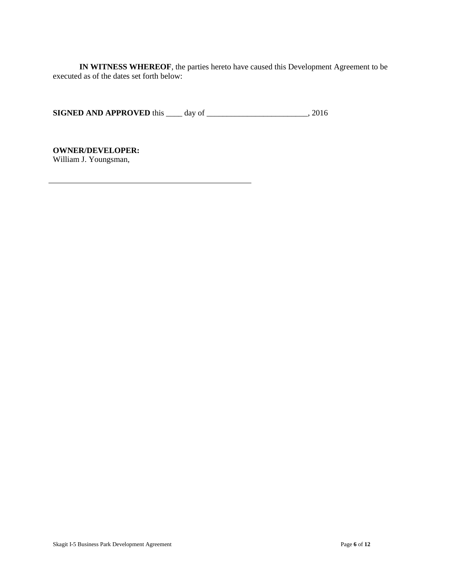**IN WITNESS WHEREOF**, the parties hereto have caused this Development Agreement to be executed as of the dates set forth below:

**SIGNED AND APPROVED** this \_\_\_\_ day of \_\_\_\_\_\_\_\_\_\_\_\_\_\_\_\_\_\_\_\_\_\_\_\_, 2016

**OWNER/DEVELOPER:** William J. Youngsman,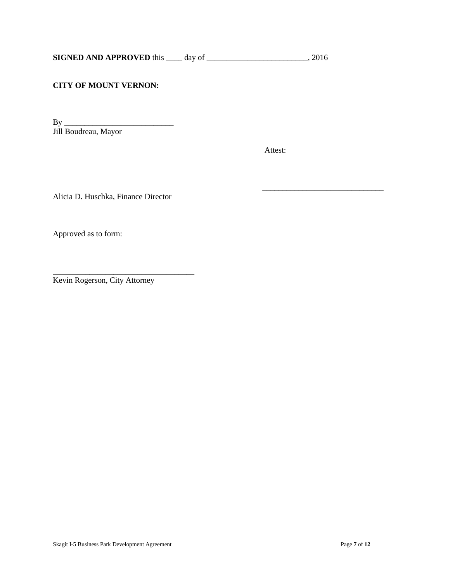## **CITY OF MOUNT VERNON:**

By \_\_\_\_\_\_\_\_\_\_\_\_\_\_\_\_\_\_\_\_\_\_\_\_\_\_\_ Jill Boudreau, Mayor

Attest:

 $\overline{\phantom{a}}$  ,  $\overline{\phantom{a}}$  ,  $\overline{\phantom{a}}$  ,  $\overline{\phantom{a}}$  ,  $\overline{\phantom{a}}$  ,  $\overline{\phantom{a}}$  ,  $\overline{\phantom{a}}$  ,  $\overline{\phantom{a}}$  ,  $\overline{\phantom{a}}$  ,  $\overline{\phantom{a}}$  ,  $\overline{\phantom{a}}$  ,  $\overline{\phantom{a}}$  ,  $\overline{\phantom{a}}$  ,  $\overline{\phantom{a}}$  ,  $\overline{\phantom{a}}$  ,  $\overline{\phantom{a}}$ 

Alicia D. Huschka, Finance Director

Approved as to form:

Kevin Rogerson, City Attorney

\_\_\_\_\_\_\_\_\_\_\_\_\_\_\_\_\_\_\_\_\_\_\_\_\_\_\_\_\_\_\_\_\_\_\_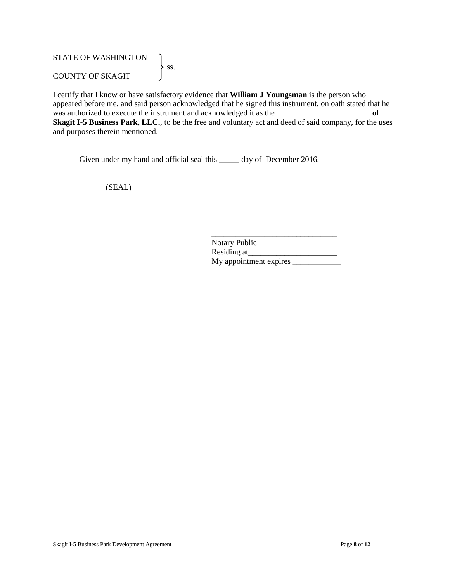## STATE OF WASHINGTON  $\left\{\right.}$  ss. COUNTY OF SKAGIT

I certify that I know or have satisfactory evidence that **William J Youngsman** is the person who appeared before me, and said person acknowledged that he signed this instrument, on oath stated that he was authorized to execute the instrument and acknowledged it as the **of Skagit I-5 Business Park, LLC.**, to be the free and voluntary act and deed of said company, for the uses and purposes therein mentioned.

Given under my hand and official seal this \_\_\_\_\_\_ day of December 2016.

(SEAL)

| <b>Notary Public</b>   |  |
|------------------------|--|
| Residing at            |  |
| My appointment expires |  |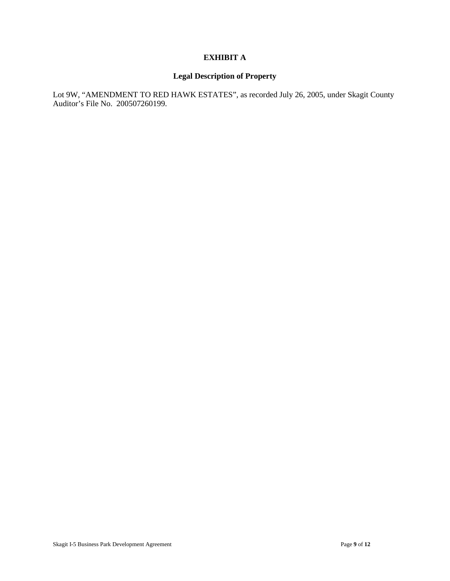## **EXHIBIT A**

## **Legal Description of Property**

Lot 9W, "AMENDMENT TO RED HAWK ESTATES", as recorded July 26, 2005, under Skagit County Auditor's File No. 200507260199.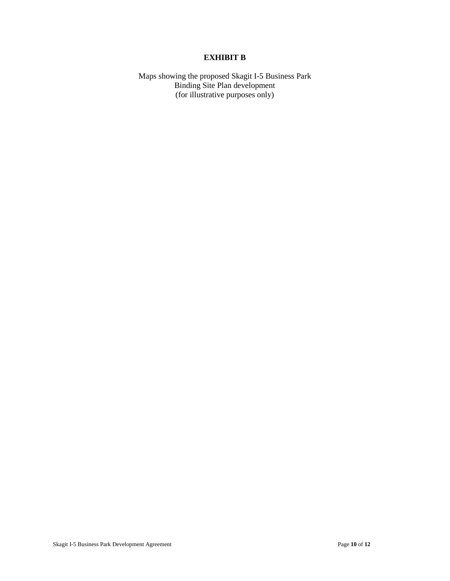## **EXHIBIT B**

Maps showing the proposed Skagit I-5 Business Park Binding Site Plan development (for illustrative purposes only)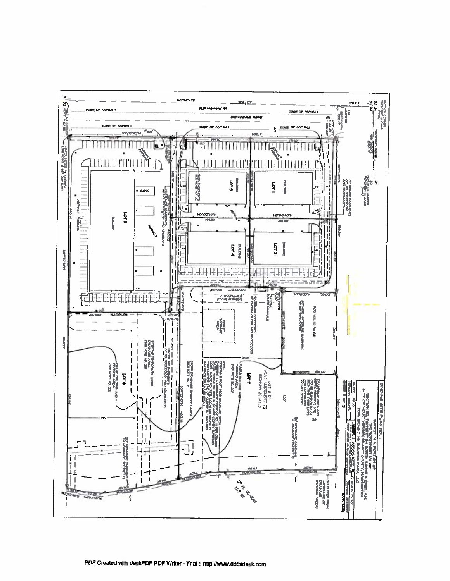

PDF Created with deskPDF PDF Writer - Trial :: http://www.docudesk.com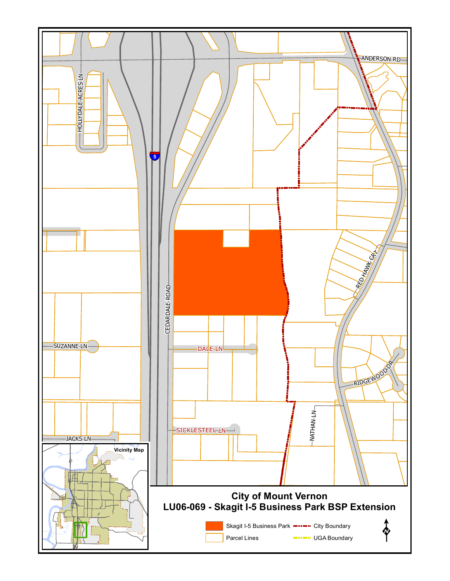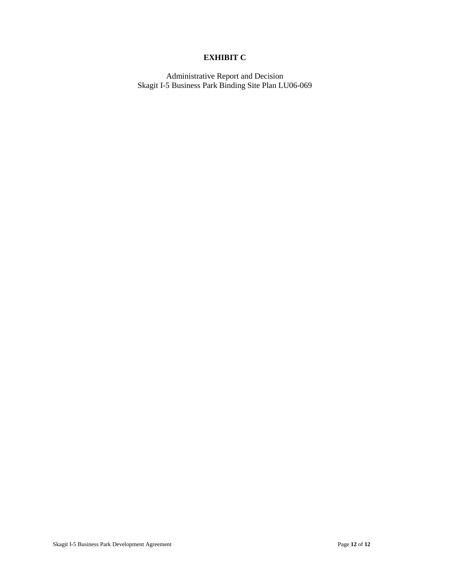## **EXHIBIT C**

Administrative Report and Decision Skagit I-5 Business Park Binding Site Plan LU06-069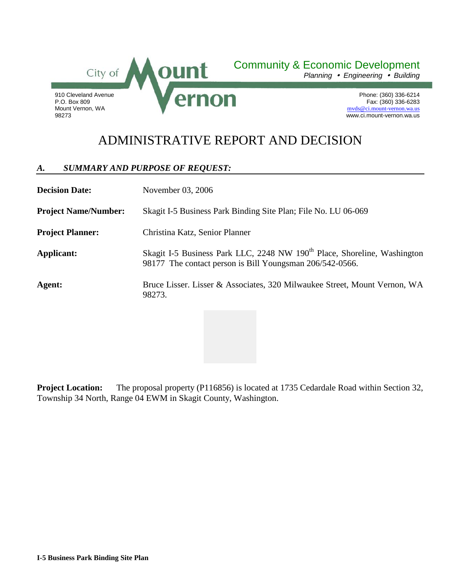

Community & Economic Development

*Planning Engineering Building*

Phone: (360) 336-6214 Fax: (360) 336-6283 [mvds@ci.mount-vernon.wa.us](mailto:mvds@ci.mount-vernon.wa.us) www.ci.mount-vernon.wa.us

# ADMINISTRATIVE REPORT AND DECISION

## *A. SUMMARY AND PURPOSE OF REQUEST:*

| <b>Decision Date:</b>       | November 03, 2006                                                                                                                                |  |
|-----------------------------|--------------------------------------------------------------------------------------------------------------------------------------------------|--|
| <b>Project Name/Number:</b> | Skagit I-5 Business Park Binding Site Plan; File No. LU 06-069                                                                                   |  |
| <b>Project Planner:</b>     | Christina Katz, Senior Planner                                                                                                                   |  |
| Applicant:                  | Skagit I-5 Business Park LLC, 2248 NW 190 <sup>th</sup> Place, Shoreline, Washington<br>98177 The contact person is Bill Youngsman 206/542-0566. |  |
| Agent:                      | Bruce Lisser. Lisser & Associates, 320 Milwaukee Street, Mount Vernon, WA<br>98273.                                                              |  |

**Project Location:** The proposal property (P116856) is located at 1735 Cedardale Road within Section 32, Township 34 North, Range 04 EWM in Skagit County, Washington.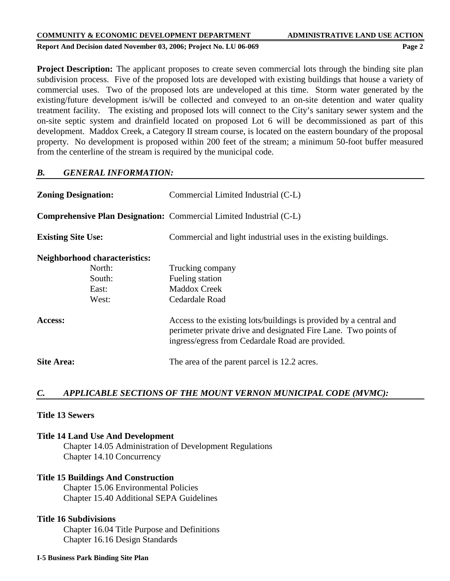#### **Report And Decision dated November 03, 2006; Project No. LU 06-069 Page 2**

**Project Description:** The applicant proposes to create seven commercial lots through the binding site plan subdivision process. Five of the proposed lots are developed with existing buildings that house a variety of commercial uses. Two of the proposed lots are undeveloped at this time. Storm water generated by the existing/future development is/will be collected and conveyed to an on-site detention and water quality treatment facility. The existing and proposed lots will connect to the City's sanitary sewer system and the on-site septic system and drainfield located on proposed Lot 6 will be decommissioned as part of this development. Maddox Creek, a Category II stream course, is located on the eastern boundary of the proposal property. No development is proposed within 200 feet of the stream; a minimum 50-foot buffer measured from the centerline of the stream is required by the municipal code.

## *B. GENERAL INFORMATION:*

| <b>Zoning Designation:</b>           | Commercial Limited Industrial (C-L)                                                                                                                                                       |  |
|--------------------------------------|-------------------------------------------------------------------------------------------------------------------------------------------------------------------------------------------|--|
|                                      | <b>Comprehensive Plan Designation:</b> Commercial Limited Industrial (C-L)                                                                                                                |  |
| <b>Existing Site Use:</b>            | Commercial and light industrial uses in the existing buildings.                                                                                                                           |  |
| <b>Neighborhood characteristics:</b> |                                                                                                                                                                                           |  |
| North:                               | Trucking company                                                                                                                                                                          |  |
| South:                               | Fueling station                                                                                                                                                                           |  |
| East:                                | <b>Maddox Creek</b>                                                                                                                                                                       |  |
| West:                                | Cedardale Road                                                                                                                                                                            |  |
| Access:                              | Access to the existing lots/buildings is provided by a central and<br>perimeter private drive and designated Fire Lane. Two points of<br>ingress/egress from Cedardale Road are provided. |  |
| <b>Site Area:</b>                    | The area of the parent parcel is 12.2 acres.                                                                                                                                              |  |

## *C. APPLICABLE SECTIONS OF THE MOUNT VERNON MUNICIPAL CODE (MVMC):*

## **Title 13 Sewers**

## **Title 14 Land Use And Development**

Chapter 14.05 Administration of Development Regulations Chapter 14.10 Concurrency

## **Title 15 Buildings And Construction**

Chapter 15.06 Environmental Policies Chapter 15.40 Additional SEPA Guidelines

## **Title 16 Subdivisions**

Chapter 16.04 Title Purpose and Definitions Chapter 16.16 Design Standards

#### **I-5 Business Park Binding Site Plan**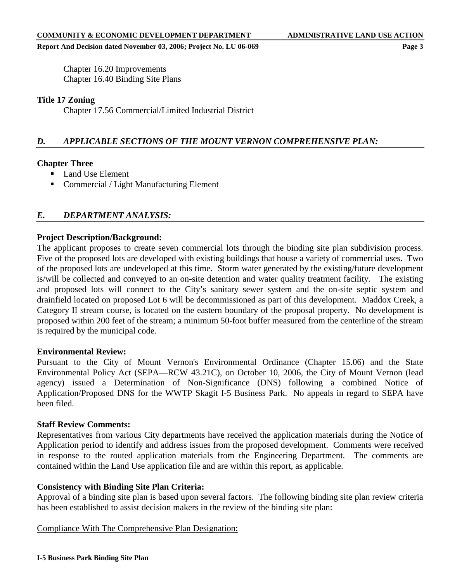Chapter 16.20 Improvements Chapter 16.40 Binding Site Plans

## **Title 17 Zoning**

Chapter 17.56 Commercial/Limited Industrial District

## *D. APPLICABLE SECTIONS OF THE MOUNT VERNON COMPREHENSIVE PLAN:*

## **Chapter Three**

- Land Use Element
- Commercial / Light Manufacturing Element

## *E. DEPARTMENT ANALYSIS:*

## **Project Description/Background:**

The applicant proposes to create seven commercial lots through the binding site plan subdivision process. Five of the proposed lots are developed with existing buildings that house a variety of commercial uses. Two of the proposed lots are undeveloped at this time. Storm water generated by the existing/future development is/will be collected and conveyed to an on-site detention and water quality treatment facility. The existing and proposed lots will connect to the City's sanitary sewer system and the on-site septic system and drainfield located on proposed Lot 6 will be decommissioned as part of this development. Maddox Creek, a Category II stream course, is located on the eastern boundary of the proposal property. No development is proposed within 200 feet of the stream; a minimum 50-foot buffer measured from the centerline of the stream is required by the municipal code.

## **Environmental Review:**

Pursuant to the City of Mount Vernon's Environmental Ordinance (Chapter 15.06) and the State Environmental Policy Act (SEPA—RCW 43.21C), on October 10, 2006, the City of Mount Vernon (lead agency) issued a Determination of Non-Significance (DNS) following a combined Notice of Application/Proposed DNS for the WWTP Skagit I-5 Business Park. No appeals in regard to SEPA have been filed.

## **Staff Review Comments:**

Representatives from various City departments have received the application materials during the Notice of Application period to identify and address issues from the proposed development. Comments were received in response to the routed application materials from the Engineering Department. The comments are contained within the Land Use application file and are within this report, as applicable.

## **Consistency with Binding Site Plan Criteria:**

Approval of a binding site plan is based upon several factors. The following binding site plan review criteria has been established to assist decision makers in the review of the binding site plan:

## Compliance With The Comprehensive Plan Designation: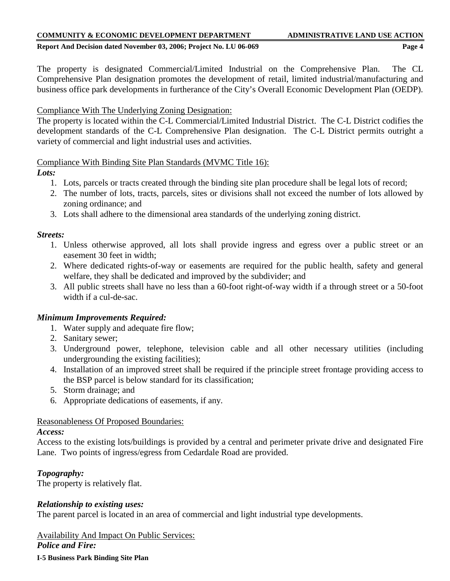**Report And Decision dated November 03, 2006; Project No. LU 06-069 Page 4**

The property is designated Commercial/Limited Industrial on the Comprehensive Plan. The CL Comprehensive Plan designation promotes the development of retail, limited industrial/manufacturing and business office park developments in furtherance of the City's Overall Economic Development Plan (OEDP).

## Compliance With The Underlying Zoning Designation:

The property is located within the C-L Commercial/Limited Industrial District. The C-L District codifies the development standards of the C-L Comprehensive Plan designation. The C-L District permits outright a variety of commercial and light industrial uses and activities.

## Compliance With Binding Site Plan Standards (MVMC Title 16):

## *Lots:*

- 1. Lots, parcels or tracts created through the binding site plan procedure shall be legal lots of record;
- 2. The number of lots, tracts, parcels, sites or divisions shall not exceed the number of lots allowed by zoning ordinance; and
- 3. Lots shall adhere to the dimensional area standards of the underlying zoning district.

## *Streets:*

- 1. Unless otherwise approved, all lots shall provide ingress and egress over a public street or an easement 30 feet in width;
- 2. Where dedicated rights-of-way or easements are required for the public health, safety and general welfare, they shall be dedicated and improved by the subdivider; and
- 3. All public streets shall have no less than a 60-foot right-of-way width if a through street or a 50-foot width if a cul-de-sac.

## *Minimum Improvements Required:*

- 1. Water supply and adequate fire flow;
- 2. Sanitary sewer;
- 3. Underground power, telephone, television cable and all other necessary utilities (including undergrounding the existing facilities);
- 4. Installation of an improved street shall be required if the principle street frontage providing access to the BSP parcel is below standard for its classification;
- 5. Storm drainage; and
- 6. Appropriate dedications of easements, if any.

## Reasonableness Of Proposed Boundaries:

## *Access:*

Access to the existing lots/buildings is provided by a central and perimeter private drive and designated Fire Lane. Two points of ingress/egress from Cedardale Road are provided.

## *Topography:*

The property is relatively flat.

## *Relationship to existing uses:*

The parent parcel is located in an area of commercial and light industrial type developments.

Availability And Impact On Public Services: *Police and Fire:*

**I-5 Business Park Binding Site Plan**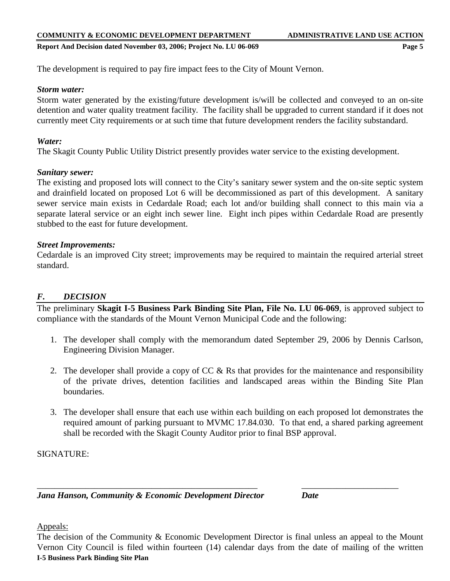**Report And Decision dated November 03, 2006; Project No. LU 06-069 Page 5**

The development is required to pay fire impact fees to the City of Mount Vernon.

## *Storm water:*

Storm water generated by the existing/future development is/will be collected and conveyed to an on-site detention and water quality treatment facility. The facility shall be upgraded to current standard if it does not currently meet City requirements or at such time that future development renders the facility substandard.

## *Water:*

The Skagit County Public Utility District presently provides water service to the existing development.

## *Sanitary sewer:*

The existing and proposed lots will connect to the City's sanitary sewer system and the on-site septic system and drainfield located on proposed Lot 6 will be decommissioned as part of this development. A sanitary sewer service main exists in Cedardale Road; each lot and/or building shall connect to this main via a separate lateral service or an eight inch sewer line. Eight inch pipes within Cedardale Road are presently stubbed to the east for future development.

## *Street Improvements:*

Cedardale is an improved City street; improvements may be required to maintain the required arterial street standard.

## *F. DECISION*

The preliminary **Skagit I-5 Business Park Binding Site Plan, File No. LU 06-069**, is approved subject to compliance with the standards of the Mount Vernon Municipal Code and the following:

- 1. The developer shall comply with the memorandum dated September 29, 2006 by Dennis Carlson, Engineering Division Manager.
- 2. The developer shall provide a copy of CC & Rs that provides for the maintenance and responsibility of the private drives, detention facilities and landscaped areas within the Binding Site Plan boundaries.
- 3. The developer shall ensure that each use within each building on each proposed lot demonstrates the required amount of parking pursuant to MVMC 17.84.030. To that end, a shared parking agreement shall be recorded with the Skagit County Auditor prior to final BSP approval.

SIGNATURE:

*Jana Hanson, Community & Economic Development Director Date*

Appeals:

**I-5 Business Park Binding Site Plan** The decision of the Community & Economic Development Director is final unless an appeal to the Mount Vernon City Council is filed within fourteen (14) calendar days from the date of mailing of the written

\_\_\_\_\_\_\_\_\_\_\_\_\_\_\_\_\_\_\_\_\_\_\_\_\_\_\_\_\_\_\_\_\_\_\_\_\_\_\_\_\_\_\_\_\_\_\_\_\_\_ \_\_\_\_\_\_\_\_\_\_\_\_\_\_\_\_\_\_\_\_\_\_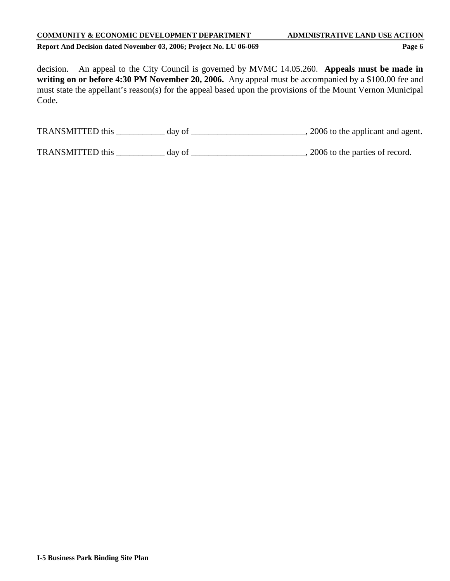**Report And Decision dated November 03, 2006; Project No. LU 06-069 Page 6**

decision. An appeal to the City Council is governed by MVMC 14.05.260. **Appeals must be made in writing on or before 4:30 PM November 20, 2006.** Any appeal must be accompanied by a \$100.00 fee and must state the appellant's reason(s) for the appeal based upon the provisions of the Mount Vernon Municipal Code.

| <b>TRANSMITTED</b> this | dav of | , 2006 to the applicant and agent. |
|-------------------------|--------|------------------------------------|
|-------------------------|--------|------------------------------------|

TRANSMITTED this \_\_\_\_\_\_\_\_\_\_\_ day of \_\_\_\_\_\_\_\_\_\_\_\_\_\_\_\_\_\_\_\_\_\_\_\_\_\_, 2006 to the parties of record.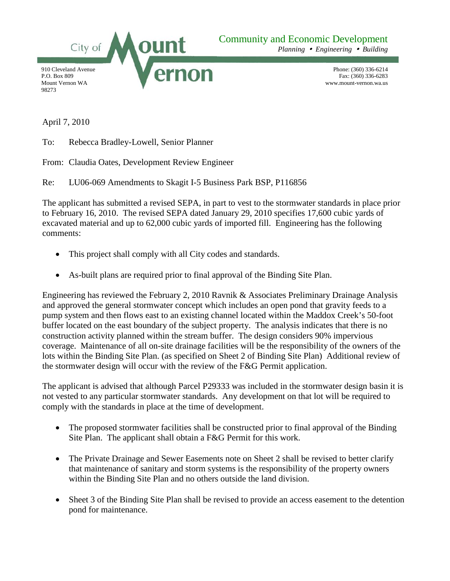

*Planning Engineering Building*

Phone: (360) 336-6214 Fax: (360) 336-6283 www.mount-vernon.wa.us

April 7, 2010

To: Rebecca Bradley-Lowell, Senior Planner

From: Claudia Oates, Development Review Engineer

Re: LU06-069 Amendments to Skagit I-5 Business Park BSP, P116856

The applicant has submitted a revised SEPA, in part to vest to the stormwater standards in place prior to February 16, 2010. The revised SEPA dated January 29, 2010 specifies 17,600 cubic yards of excavated material and up to 62,000 cubic yards of imported fill. Engineering has the following comments:

- This project shall comply with all City codes and standards.
- As-built plans are required prior to final approval of the Binding Site Plan.

Engineering has reviewed the February 2, 2010 Ravnik & Associates Preliminary Drainage Analysis and approved the general stormwater concept which includes an open pond that gravity feeds to a pump system and then flows east to an existing channel located within the Maddox Creek's 50-foot buffer located on the east boundary of the subject property. The analysis indicates that there is no construction activity planned within the stream buffer. The design considers 90% impervious coverage. Maintenance of all on-site drainage facilities will be the responsibility of the owners of the lots within the Binding Site Plan. (as specified on Sheet 2 of Binding Site Plan) Additional review of the stormwater design will occur with the review of the F&G Permit application.

The applicant is advised that although Parcel P29333 was included in the stormwater design basin it is not vested to any particular stormwater standards. Any development on that lot will be required to comply with the standards in place at the time of development.

- The proposed stormwater facilities shall be constructed prior to final approval of the Binding Site Plan. The applicant shall obtain a F&G Permit for this work.
- The Private Drainage and Sewer Easements note on Sheet 2 shall be revised to better clarify that maintenance of sanitary and storm systems is the responsibility of the property owners within the Binding Site Plan and no others outside the land division.
- Sheet 3 of the Binding Site Plan shall be revised to provide an access easement to the detention pond for maintenance.